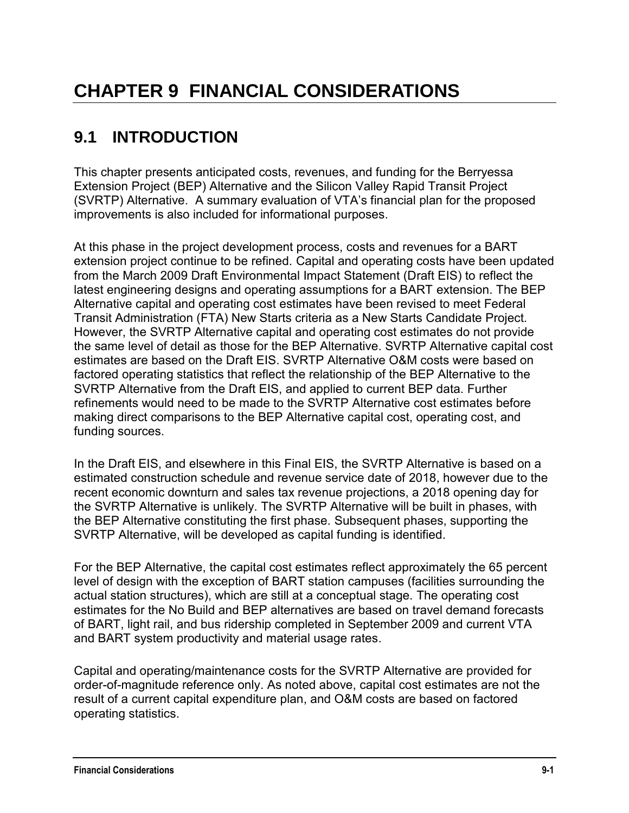# **9.1 INTRODUCTION**

This chapter presents anticipated costs, revenues, and funding for the Berryessa Extension Project (BEP) Alternative and the Silicon Valley Rapid Transit Project (SVRTP) Alternative. A summary evaluation of VTA's financial plan for the proposed improvements is also included for informational purposes.

At this phase in the project development process, costs and revenues for a BART extension project continue to be refined. Capital and operating costs have been updated from the March 2009 Draft Environmental Impact Statement (Draft EIS) to reflect the latest engineering designs and operating assumptions for a BART extension. The BEP Alternative capital and operating cost estimates have been revised to meet Federal Transit Administration (FTA) New Starts criteria as a New Starts Candidate Project. However, the SVRTP Alternative capital and operating cost estimates do not provide the same level of detail as those for the BEP Alternative. SVRTP Alternative capital cost estimates are based on the Draft EIS. SVRTP Alternative O&M costs were based on factored operating statistics that reflect the relationship of the BEP Alternative to the SVRTP Alternative from the Draft EIS, and applied to current BEP data. Further refinements would need to be made to the SVRTP Alternative cost estimates before making direct comparisons to the BEP Alternative capital cost, operating cost, and funding sources.

In the Draft EIS, and elsewhere in this Final EIS, the SVRTP Alternative is based on a estimated construction schedule and revenue service date of 2018, however due to the recent economic downturn and sales tax revenue projections, a 2018 opening day for the SVRTP Alternative is unlikely. The SVRTP Alternative will be built in phases, with the BEP Alternative constituting the first phase. Subsequent phases, supporting the SVRTP Alternative, will be developed as capital funding is identified.

For the BEP Alternative, the capital cost estimates reflect approximately the 65 percent level of design with the exception of BART station campuses (facilities surrounding the actual station structures), which are still at a conceptual stage. The operating cost estimates for the No Build and BEP alternatives are based on travel demand forecasts of BART, light rail, and bus ridership completed in September 2009 and current VTA and BART system productivity and material usage rates.

Capital and operating/maintenance costs for the SVRTP Alternative are provided for order-of-magnitude reference only. As noted above, capital cost estimates are not the result of a current capital expenditure plan, and O&M costs are based on factored operating statistics.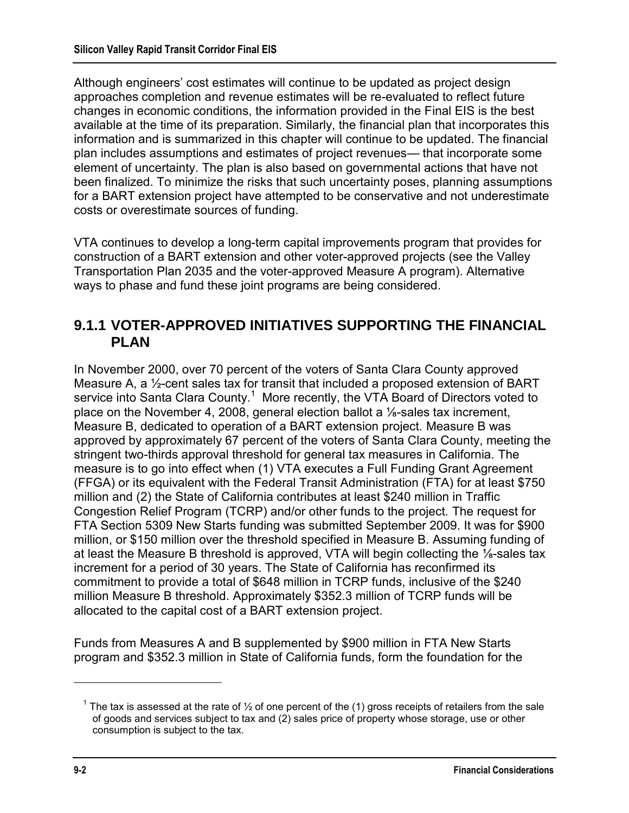Although engineers' cost estimates will continue to be updated as project design approaches completion and revenue estimates will be re-evaluated to reflect future changes in economic conditions, the information provided in the Final EIS is the best available at the time of its preparation. Similarly, the financial plan that incorporates this information and is summarized in this chapter will continue to be updated. The financial plan includes assumptions and estimates of project revenues— that incorporate some element of uncertainty. The plan is also based on governmental actions that have not been finalized. To minimize the risks that such uncertainty poses, planning assumptions for a BART extension project have attempted to be conservative and not underestimate costs or overestimate sources of funding.

VTA continues to develop a long-term capital improvements program that provides for construction of a BART extension and other voter-approved projects (see the Valley Transportation Plan 2035 and the voter-approved Measure A program). Alternative ways to phase and fund these joint programs are being considered.

### **9.1.1 VOTER-APPROVED INITIATIVES SUPPORTING THE FINANCIAL PLAN**

In November 2000, over 70 percent of the voters of Santa Clara County approved Measure A, a ½-cent sales tax for transit that included a proposed extension of BART service into Santa Clara County.<sup>1</sup> More recently, the VTA Board of Directors voted to place on the November 4, 2008, general election ballot a ⅛-sales tax increment, Measure B, dedicated to operation of a BART extension project. Measure B was approved by approximately 67 percent of the voters of Santa Clara County, meeting the stringent two-thirds approval threshold for general tax measures in California. The measure is to go into effect when (1) VTA executes a Full Funding Grant Agreement (FFGA) or its equivalent with the Federal Transit Administration (FTA) for at least \$750 million and (2) the State of California contributes at least \$240 million in Traffic Congestion Relief Program (TCRP) and/or other funds to the project. The request for FTA Section 5309 New Starts funding was submitted September 2009. It was for \$900 million, or \$150 million over the threshold specified in Measure B. Assuming funding of at least the Measure B threshold is approved, VTA will begin collecting the ⅛-sales tax increment for a period of 30 years. The State of California has reconfirmed its commitment to provide a total of \$648 million in TCRP funds, inclusive of the \$240 million Measure B threshold. Approximately \$352.3 million of TCRP funds will be allocated to the capital cost of a BART extension project.

Funds from Measures A and B supplemented by \$900 million in FTA New Starts program and \$352.3 million in State of California funds, form the foundation for the

<sup>&</sup>lt;sup>1</sup> The tax is assessed at the rate of  $\frac{1}{2}$  of one percent of the (1) gross receipts of retailers from the sale of goods and services subject to tax and (2) sales price of property whose storage, use or other consumption is subject to the tax.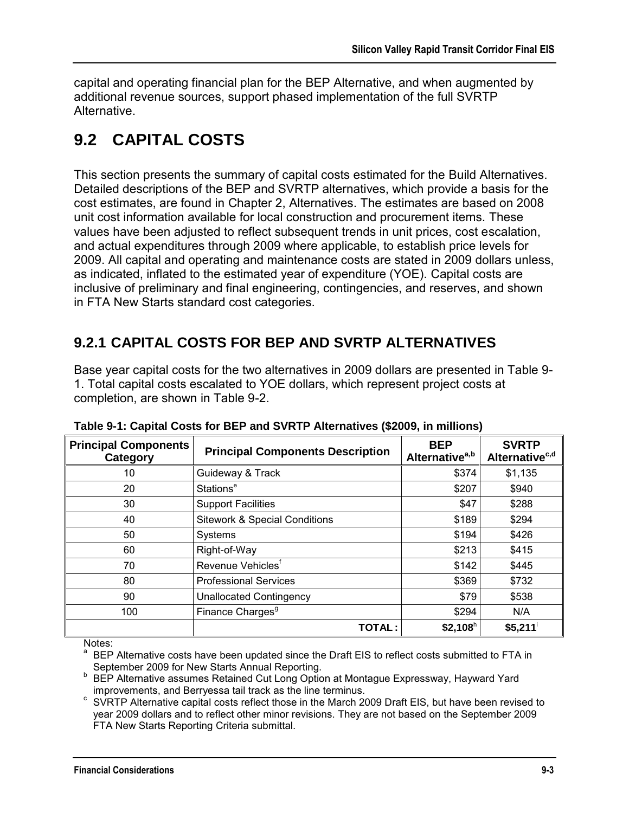capital and operating financial plan for the BEP Alternative, and when augmented by additional revenue sources, support phased implementation of the full SVRTP Alternative.

# **9.2 CAPITAL COSTS**

This section presents the summary of capital costs estimated for the Build Alternatives. Detailed descriptions of the BEP and SVRTP alternatives, which provide a basis for the cost estimates, are found in Chapter 2, Alternatives. The estimates are based on 2008 unit cost information available for local construction and procurement items. These values have been adjusted to reflect subsequent trends in unit prices, cost escalation, and actual expenditures through 2009 where applicable, to establish price levels for 2009. All capital and operating and maintenance costs are stated in 2009 dollars unless, as indicated, inflated to the estimated year of expenditure (YOE). Capital costs are inclusive of preliminary and final engineering, contingencies, and reserves, and shown in FTA New Starts standard cost categories.

# **9.2.1 CAPITAL COSTS FOR BEP AND SVRTP ALTERNATIVES**

Base year capital costs for the two alternatives in 2009 dollars are presented in Table 9- 1. Total capital costs escalated to YOE dollars, which represent project costs at completion, are shown in Table 9-2.

| <b>Principal Components</b><br>Category | <b>Principal Components Description</b>  | <b>BEP</b><br>Alternative <sup>a,b</sup> | <b>SVRTP</b><br>Alternative <sup>c,d</sup> |
|-----------------------------------------|------------------------------------------|------------------------------------------|--------------------------------------------|
| 10                                      | Guideway & Track                         | \$374                                    | \$1,135                                    |
| 20                                      | Stations <sup>e</sup>                    | \$207                                    | \$940                                      |
| 30                                      | <b>Support Facilities</b>                | \$47                                     | \$288                                      |
| 40                                      | <b>Sitework &amp; Special Conditions</b> | \$189                                    | \$294                                      |
| 50                                      | Systems                                  | \$194                                    | \$426                                      |
| 60                                      | Right-of-Way                             | \$213                                    | \$415                                      |
| 70                                      | Revenue Vehicles <sup>t</sup>            | \$142                                    | \$445                                      |
| 80                                      | <b>Professional Services</b>             | \$369                                    | \$732                                      |
| 90                                      | <b>Unallocated Contingency</b>           | \$79                                     | \$538                                      |
| 100                                     | Finance Charges <sup>9</sup>             | \$294                                    | N/A                                        |
|                                         | <b>TOTAL:</b>                            | $$2,108$ h                               | \$5,211                                    |

**Table 9-1: Capital Costs for BEP and SVRTP Alternatives (\$2009, in millions)** 

Notes:

<sup>a</sup> BEP Alternative costs have been updated since the Draft EIS to reflect costs submitted to FTA in September 2009 for New Starts Annual Reporting.

**BEP Alternative assumes Retained Cut Long Option at Montague Expressway, Hayward Yard** improvements, and Berryessa tail track as the line terminus.

<sup>c</sup> SVRTP Alternative capital costs reflect those in the March 2009 Draft EIS, but have been revised to year 2009 dollars and to reflect other minor revisions. They are not based on the September 2009 FTA New Starts Reporting Criteria submittal.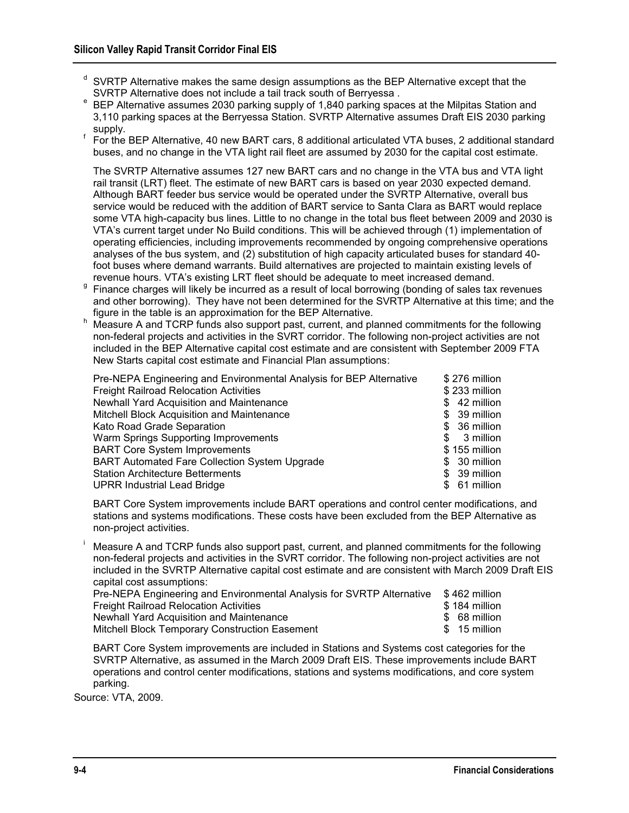- $d$  SVRTP Alternative makes the same design assumptions as the BEP Alternative except that the SVRTP Alternative does not include a tail track south of Berryessa .
- e BEP Alternative assumes 2030 parking supply of 1,840 parking spaces at the Milpitas Station and 3,110 parking spaces at the Berryessa Station. SVRTP Alternative assumes Draft EIS 2030 parking supply.
- f For the BEP Alternative, 40 new BART cars, 8 additional articulated VTA buses, 2 additional standard buses, and no change in the VTA light rail fleet are assumed by 2030 for the capital cost estimate.

 The SVRTP Alternative assumes 127 new BART cars and no change in the VTA bus and VTA light rail transit (LRT) fleet. The estimate of new BART cars is based on year 2030 expected demand. Although BART feeder bus service would be operated under the SVRTP Alternative, overall bus service would be reduced with the addition of BART service to Santa Clara as BART would replace some VTA high-capacity bus lines. Little to no change in the total bus fleet between 2009 and 2030 is VTA's current target under No Build conditions. This will be achieved through (1) implementation of operating efficiencies, including improvements recommended by ongoing comprehensive operations analyses of the bus system, and (2) substitution of high capacity articulated buses for standard 40 foot buses where demand warrants. Build alternatives are projected to maintain existing levels of revenue hours. VTA's existing LRT fleet should be adequate to meet increased demand.

Finance charges will likely be incurred as a result of local borrowing (bonding of sales tax revenues and other borrowing). They have not been determined for the SVRTP Alternative at this time; and the figure in the table is an approximation for the BEP Alternative.

h Measure A and TCRP funds also support past, current, and planned commitments for the following non-federal projects and activities in the SVRT corridor. The following non-project activities are not included in the BEP Alternative capital cost estimate and are consistent with September 2009 FTA New Starts capital cost estimate and Financial Plan assumptions:

| Pre-NEPA Engineering and Environmental Analysis for BEP Alternative | \$276 million     |
|---------------------------------------------------------------------|-------------------|
| <b>Freight Railroad Relocation Activities</b>                       | \$233 million     |
| Newhall Yard Acquisition and Maintenance                            | 42 million<br>SS. |
| Mitchell Block Acquisition and Maintenance                          | \$ 39 million     |
| Kato Road Grade Separation                                          | \$ 36 million     |
| Warm Springs Supporting Improvements                                | 3 million<br>\$.  |
| <b>BART Core System Improvements</b>                                | \$155 million     |
| <b>BART Automated Fare Collection System Upgrade</b>                | \$ 30 million     |
| <b>Station Architecture Betterments</b>                             | \$ 39 million     |
| <b>UPRR Industrial Lead Bridge</b>                                  | 61 million<br>SS. |

 BART Core System improvements include BART operations and control center modifications, and stations and systems modifications. These costs have been excluded from the BEP Alternative as non-project activities.

 Measure A and TCRP funds also support past, current, and planned commitments for the following non-federal projects and activities in the SVRT corridor. The following non-project activities are not included in the SVRTP Alternative capital cost estimate and are consistent with March 2009 Draft EIS capital cost assumptions:

| Pre-NEPA Engineering and Environmental Analysis for SVRTP Alternative | \$462 million |
|-----------------------------------------------------------------------|---------------|
| <b>Freight Railroad Relocation Activities</b>                         | \$184 million |
| Newhall Yard Acquisition and Maintenance                              | \$ 68 million |
| Mitchell Block Temporary Construction Easement                        | \$15 million  |

 BART Core System improvements are included in Stations and Systems cost categories for the SVRTP Alternative, as assumed in the March 2009 Draft EIS. These improvements include BART operations and control center modifications, stations and systems modifications, and core system parking.

Source: VTA, 2009.

i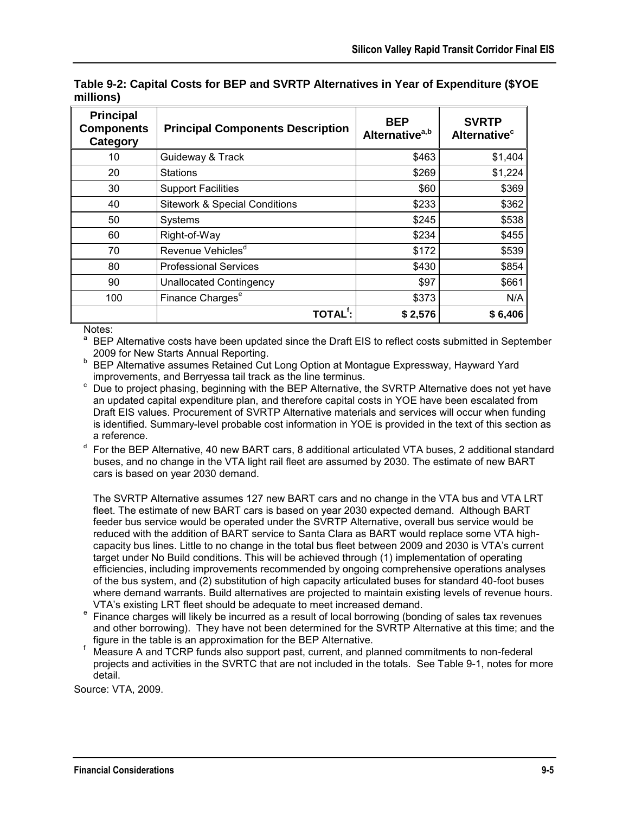| <b>Principal</b><br><b>Components</b><br>Category | <b>Principal Components Description</b>  | <b>BEP</b><br>Alternative <sup>a,b</sup> | <b>SVRTP</b><br>Alternative <sup>c</sup> |
|---------------------------------------------------|------------------------------------------|------------------------------------------|------------------------------------------|
| 10                                                | Guideway & Track                         | \$463                                    | \$1,404                                  |
| 20                                                | <b>Stations</b>                          | \$269                                    | \$1,224                                  |
| 30                                                | <b>Support Facilities</b>                | \$60                                     | \$369                                    |
| 40                                                | <b>Sitework &amp; Special Conditions</b> | \$233                                    | \$362                                    |
| 50                                                | Systems                                  | \$245                                    | \$538                                    |
| 60                                                | Right-of-Way                             | \$234                                    | \$455                                    |
| 70                                                | Revenue Vehicles <sup>d</sup>            | \$172                                    | \$539                                    |
| 80                                                | <b>Professional Services</b>             | \$430                                    | \$854                                    |
| 90                                                | <b>Unallocated Contingency</b>           | \$97                                     | \$661                                    |
| 100                                               | Finance Charges <sup>e</sup>             | \$373                                    | N/A                                      |
|                                                   | TOTAL <sup>f</sup> :                     | \$2,576                                  | \$6,406                                  |

**Table 9-2: Capital Costs for BEP and SVRTP Alternatives in Year of Expenditure (\$YOE millions)** 

Notes:

<sup>a</sup> BEP Alternative costs have been updated since the Draft EIS to reflect costs submitted in September 2009 for New Starts Annual Reporting.

- <sup>b</sup>BEP Alternative assumes Retained Cut Long Option at Montague Expressway, Hayward Yard improvements, and Berryessa tail track as the line terminus.
- c Due to project phasing, beginning with the BEP Alternative, the SVRTP Alternative does not yet have an updated capital expenditure plan, and therefore capital costs in YOE have been escalated from Draft EIS values. Procurement of SVRTP Alternative materials and services will occur when funding is identified. Summary-level probable cost information in YOE is provided in the text of this section as a reference.
- d For the BEP Alternative, 40 new BART cars, 8 additional articulated VTA buses, 2 additional standard buses, and no change in the VTA light rail fleet are assumed by 2030. The estimate of new BART cars is based on year 2030 demand.

 The SVRTP Alternative assumes 127 new BART cars and no change in the VTA bus and VTA LRT fleet. The estimate of new BART cars is based on year 2030 expected demand. Although BART feeder bus service would be operated under the SVRTP Alternative, overall bus service would be reduced with the addition of BART service to Santa Clara as BART would replace some VTA highcapacity bus lines. Little to no change in the total bus fleet between 2009 and 2030 is VTA's current target under No Build conditions. This will be achieved through (1) implementation of operating efficiencies, including improvements recommended by ongoing comprehensive operations analyses of the bus system, and (2) substitution of high capacity articulated buses for standard 40-foot buses where demand warrants. Build alternatives are projected to maintain existing levels of revenue hours. VTA's existing LRT fleet should be adequate to meet increased demand.

- e Finance charges will likely be incurred as a result of local borrowing (bonding of sales tax revenues and other borrowing). They have not been determined for the SVRTP Alternative at this time; and the figure in the table is an approximation for the BEP Alternative.
- f Measure A and TCRP funds also support past, current, and planned commitments to non-federal projects and activities in the SVRTC that are not included in the totals. See Table 9-1, notes for more detail.

Source: VTA, 2009.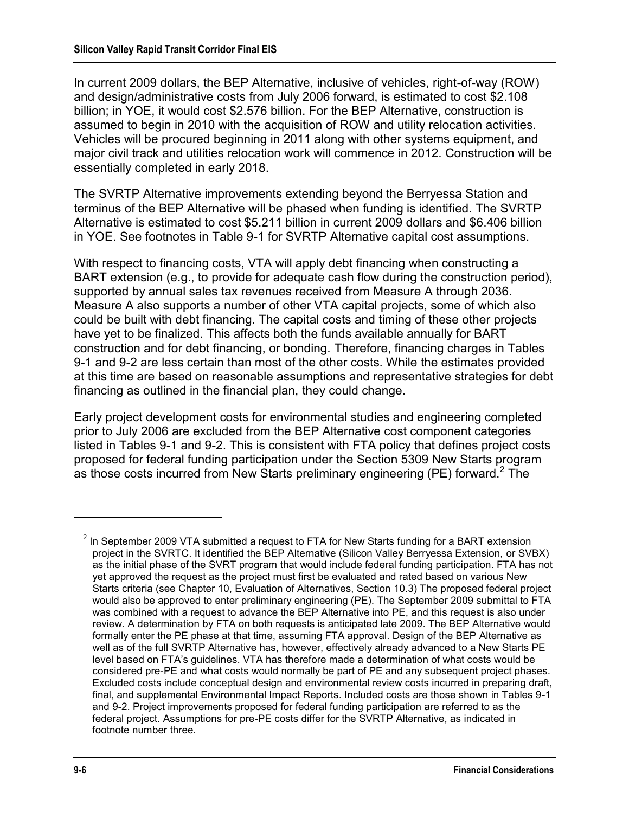In current 2009 dollars, the BEP Alternative, inclusive of vehicles, right-of-way (ROW) and design/administrative costs from July 2006 forward, is estimated to cost \$2.108 billion; in YOE, it would cost \$2.576 billion. For the BEP Alternative, construction is assumed to begin in 2010 with the acquisition of ROW and utility relocation activities. Vehicles will be procured beginning in 2011 along with other systems equipment, and major civil track and utilities relocation work will commence in 2012. Construction will be essentially completed in early 2018.

The SVRTP Alternative improvements extending beyond the Berryessa Station and terminus of the BEP Alternative will be phased when funding is identified. The SVRTP Alternative is estimated to cost \$5.211 billion in current 2009 dollars and \$6.406 billion in YOE. See footnotes in Table 9-1 for SVRTP Alternative capital cost assumptions.

With respect to financing costs, VTA will apply debt financing when constructing a BART extension (e.g., to provide for adequate cash flow during the construction period), supported by annual sales tax revenues received from Measure A through 2036. Measure A also supports a number of other VTA capital projects, some of which also could be built with debt financing. The capital costs and timing of these other projects have yet to be finalized. This affects both the funds available annually for BART construction and for debt financing, or bonding. Therefore, financing charges in Tables 9-1 and 9-2 are less certain than most of the other costs. While the estimates provided at this time are based on reasonable assumptions and representative strategies for debt financing as outlined in the financial plan, they could change.

Early project development costs for environmental studies and engineering completed prior to July 2006 are excluded from the BEP Alternative cost component categories listed in Tables 9-1 and 9-2. This is consistent with FTA policy that defines project costs proposed for federal funding participation under the Section 5309 New Starts program as those costs incurred from New Starts preliminary engineering (PE) forward.<sup>2</sup> The

 $2$  In September 2009 VTA submitted a request to FTA for New Starts funding for a BART extension project in the SVRTC. It identified the BEP Alternative (Silicon Valley Berryessa Extension, or SVBX) as the initial phase of the SVRT program that would include federal funding participation. FTA has not yet approved the request as the project must first be evaluated and rated based on various New Starts criteria (see Chapter 10, Evaluation of Alternatives, Section 10.3) The proposed federal project would also be approved to enter preliminary engineering (PE). The September 2009 submittal to FTA was combined with a request to advance the BEP Alternative into PE, and this request is also under review. A determination by FTA on both requests is anticipated late 2009. The BEP Alternative would formally enter the PE phase at that time, assuming FTA approval. Design of the BEP Alternative as well as of the full SVRTP Alternative has, however, effectively already advanced to a New Starts PE level based on FTA's guidelines. VTA has therefore made a determination of what costs would be considered pre-PE and what costs would normally be part of PE and any subsequent project phases. Excluded costs include conceptual design and environmental review costs incurred in preparing draft, final, and supplemental Environmental Impact Reports. Included costs are those shown in Tables 9-1 and 9-2. Project improvements proposed for federal funding participation are referred to as the federal project. Assumptions for pre-PE costs differ for the SVRTP Alternative, as indicated in footnote number three.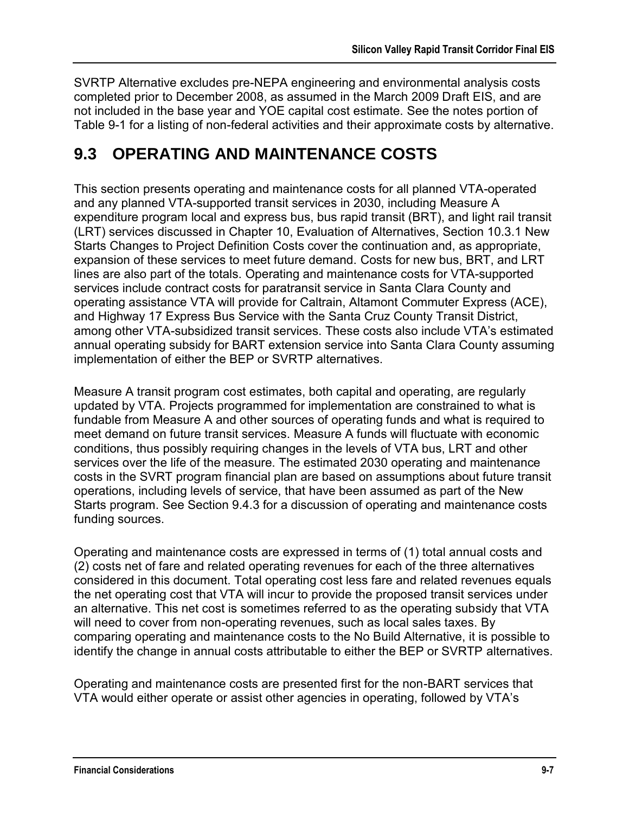SVRTP Alternative excludes pre-NEPA engineering and environmental analysis costs completed prior to December 2008, as assumed in the March 2009 Draft EIS, and are not included in the base year and YOE capital cost estimate. See the notes portion of Table 9-1 for a listing of non-federal activities and their approximate costs by alternative.

# **9.3 OPERATING AND MAINTENANCE COSTS**

This section presents operating and maintenance costs for all planned VTA-operated and any planned VTA-supported transit services in 2030, including Measure A expenditure program local and express bus, bus rapid transit (BRT), and light rail transit (LRT) services discussed in Chapter 10, Evaluation of Alternatives, Section 10.3.1 New Starts Changes to Project Definition Costs cover the continuation and, as appropriate, expansion of these services to meet future demand. Costs for new bus, BRT, and LRT lines are also part of the totals. Operating and maintenance costs for VTA-supported services include contract costs for paratransit service in Santa Clara County and operating assistance VTA will provide for Caltrain, Altamont Commuter Express (ACE), and Highway 17 Express Bus Service with the Santa Cruz County Transit District, among other VTA-subsidized transit services. These costs also include VTA's estimated annual operating subsidy for BART extension service into Santa Clara County assuming implementation of either the BEP or SVRTP alternatives.

Measure A transit program cost estimates, both capital and operating, are regularly updated by VTA. Projects programmed for implementation are constrained to what is fundable from Measure A and other sources of operating funds and what is required to meet demand on future transit services. Measure A funds will fluctuate with economic conditions, thus possibly requiring changes in the levels of VTA bus, LRT and other services over the life of the measure. The estimated 2030 operating and maintenance costs in the SVRT program financial plan are based on assumptions about future transit operations, including levels of service, that have been assumed as part of the New Starts program. See Section 9.4.3 for a discussion of operating and maintenance costs funding sources.

Operating and maintenance costs are expressed in terms of (1) total annual costs and (2) costs net of fare and related operating revenues for each of the three alternatives considered in this document. Total operating cost less fare and related revenues equals the net operating cost that VTA will incur to provide the proposed transit services under an alternative. This net cost is sometimes referred to as the operating subsidy that VTA will need to cover from non-operating revenues, such as local sales taxes. By comparing operating and maintenance costs to the No Build Alternative, it is possible to identify the change in annual costs attributable to either the BEP or SVRTP alternatives.

Operating and maintenance costs are presented first for the non-BART services that VTA would either operate or assist other agencies in operating, followed by VTA's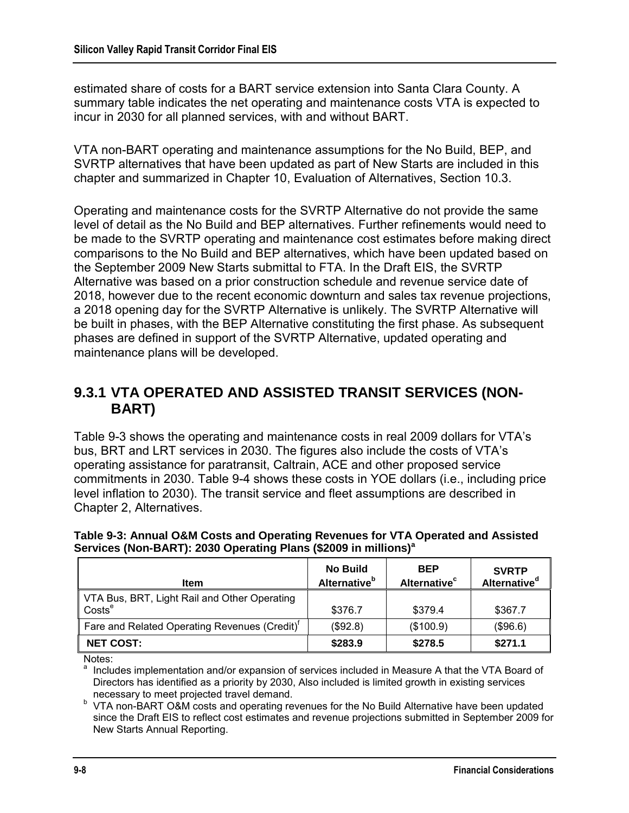estimated share of costs for a BART service extension into Santa Clara County. A summary table indicates the net operating and maintenance costs VTA is expected to incur in 2030 for all planned services, with and without BART.

VTA non-BART operating and maintenance assumptions for the No Build, BEP, and SVRTP alternatives that have been updated as part of New Starts are included in this chapter and summarized in Chapter 10, Evaluation of Alternatives, Section 10.3.

Operating and maintenance costs for the SVRTP Alternative do not provide the same level of detail as the No Build and BEP alternatives. Further refinements would need to be made to the SVRTP operating and maintenance cost estimates before making direct comparisons to the No Build and BEP alternatives, which have been updated based on the September 2009 New Starts submittal to FTA. In the Draft EIS, the SVRTP Alternative was based on a prior construction schedule and revenue service date of 2018, however due to the recent economic downturn and sales tax revenue projections, a 2018 opening day for the SVRTP Alternative is unlikely. The SVRTP Alternative will be built in phases, with the BEP Alternative constituting the first phase. As subsequent phases are defined in support of the SVRTP Alternative, updated operating and maintenance plans will be developed.

### **9.3.1 VTA OPERATED AND ASSISTED TRANSIT SERVICES (NON-BART)**

Table 9-3 shows the operating and maintenance costs in real 2009 dollars for VTA's bus, BRT and LRT services in 2030. The figures also include the costs of VTA's operating assistance for paratransit, Caltrain, ACE and other proposed service commitments in 2030. Table 9-4 shows these costs in YOE dollars (i.e., including price level inflation to 2030). The transit service and fleet assumptions are described in Chapter 2, Alternatives.

| ltem                                                                                        | <b>No Build</b><br><b>Alternative</b> <sup>b</sup> | <b>BEP</b><br>Alternative <sup>c</sup> | <b>SVRTP</b><br>Alternative <sup>d</sup> |
|---------------------------------------------------------------------------------------------|----------------------------------------------------|----------------------------------------|------------------------------------------|
| VTA Bus, BRT, Light Rail and Other Operating<br>$\overline{\phantom{a}}$ Costs <sup>e</sup> | \$376.7                                            | \$379.4                                | \$367.7                                  |
| Fare and Related Operating Revenues (Credit) <sup>T</sup>                                   | (\$92.8)                                           | (\$100.9)                              | (\$96.6)                                 |
| <b>NET COST:</b>                                                                            | \$283.9                                            | \$278.5                                | \$271.1                                  |

#### **Table 9-3: Annual O&M Costs and Operating Revenues for VTA Operated and Assisted Services (Non-BART): 2030 Operating Plans (\$2009 in millions)<sup>a</sup>**

Notes:

Includes implementation and/or expansion of services included in Measure A that the VTA Board of Directors has identified as a priority by 2030, Also included is limited growth in existing services necessary to meet projected travel demand.

<sup>b</sup> VTA non-BART O&M costs and operating revenues for the No Build Alternative have been updated since the Draft EIS to reflect cost estimates and revenue projections submitted in September 2009 for New Starts Annual Reporting.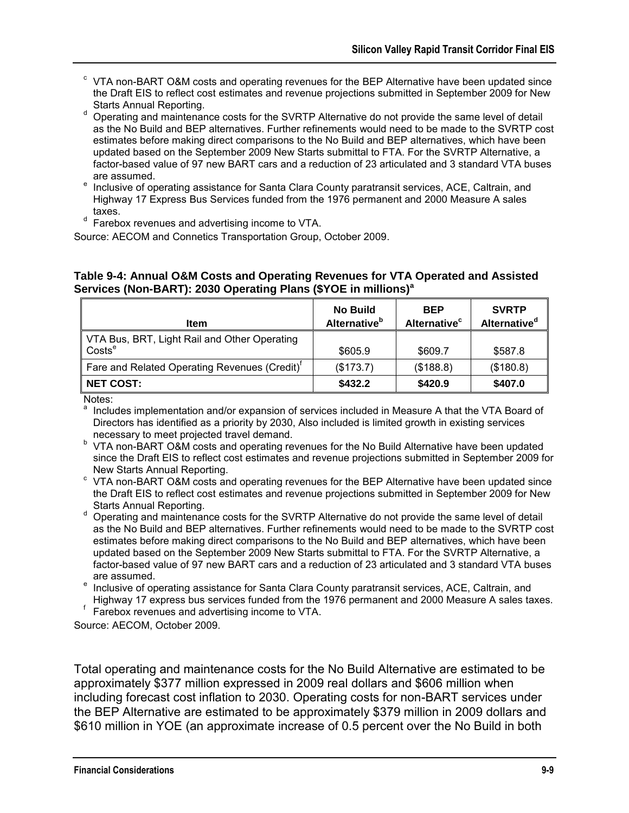- $\textdegree$  VTA non-BART O&M costs and operating revenues for the BEP Alternative have been updated since the Draft EIS to reflect cost estimates and revenue projections submitted in September 2009 for New Starts Annual Reporting.
- d Operating and maintenance costs for the SVRTP Alternative do not provide the same level of detail as the No Build and BEP alternatives. Further refinements would need to be made to the SVRTP cost estimates before making direct comparisons to the No Build and BEP alternatives, which have been updated based on the September 2009 New Starts submittal to FTA. For the SVRTP Alternative, a factor-based value of 97 new BART cars and a reduction of 23 articulated and 3 standard VTA buses are assumed.
- Inclusive of operating assistance for Santa Clara County paratransit services, ACE, Caltrain, and Highway 17 Express Bus Services funded from the 1976 permanent and 2000 Measure A sales taxes.
- $d$  Farebox revenues and advertising income to VTA.

Source: AECOM and Connetics Transportation Group, October 2009.

#### **Table 9-4: Annual O&M Costs and Operating Revenues for VTA Operated and Assisted Services (Non-BART): 2030 Operating Plans (\$YOE in millions)<sup>a</sup>**

| ltem                                                               | <b>No Build</b><br><b>Alternative</b> <sup>b</sup> | <b>BEP</b><br>Alternative <sup>c</sup> | <b>SVRTP</b><br>Alternative <sup>d</sup> |
|--------------------------------------------------------------------|----------------------------------------------------|----------------------------------------|------------------------------------------|
| VTA Bus, BRT, Light Rail and Other Operating<br>Costs <sup>e</sup> | \$605.9                                            | \$609.7                                | \$587.8                                  |
| Fare and Related Operating Revenues (Credit)'                      | (\$173.7)                                          | (\$188.8)                              | (\$180.8)                                |
| <b>NET COST:</b>                                                   | \$432.2                                            | \$420.9                                | \$407.0                                  |

Notes:

Includes implementation and/or expansion of services included in Measure A that the VTA Board of Directors has identified as a priority by 2030, Also included is limited growth in existing services necessary to meet projected travel demand.

- <sup>b</sup> VTA non-BART O&M costs and operating revenues for the No Build Alternative have been updated since the Draft EIS to reflect cost estimates and revenue projections submitted in September 2009 for New Starts Annual Reporting.
- <sup>c</sup> VTA non-BART O&M costs and operating revenues for the BEP Alternative have been updated since the Draft EIS to reflect cost estimates and revenue projections submitted in September 2009 for New Starts Annual Reporting.
- d Operating and maintenance costs for the SVRTP Alternative do not provide the same level of detail as the No Build and BEP alternatives. Further refinements would need to be made to the SVRTP cost estimates before making direct comparisons to the No Build and BEP alternatives, which have been updated based on the September 2009 New Starts submittal to FTA. For the SVRTP Alternative, a factor-based value of 97 new BART cars and a reduction of 23 articulated and 3 standard VTA buses are assumed.

<sup>e</sup> Inclusive of operating assistance for Santa Clara County paratransit services, ACE, Caltrain, and

Highway 17 express bus services funded from the 1976 permanent and 2000 Measure A sales taxes. f Farebox revenues and advertising income to VTA.

Source: AECOM, October 2009.

Total operating and maintenance costs for the No Build Alternative are estimated to be approximately \$377 million expressed in 2009 real dollars and \$606 million when including forecast cost inflation to 2030. Operating costs for non-BART services under the BEP Alternative are estimated to be approximately \$379 million in 2009 dollars and \$610 million in YOE (an approximate increase of 0.5 percent over the No Build in both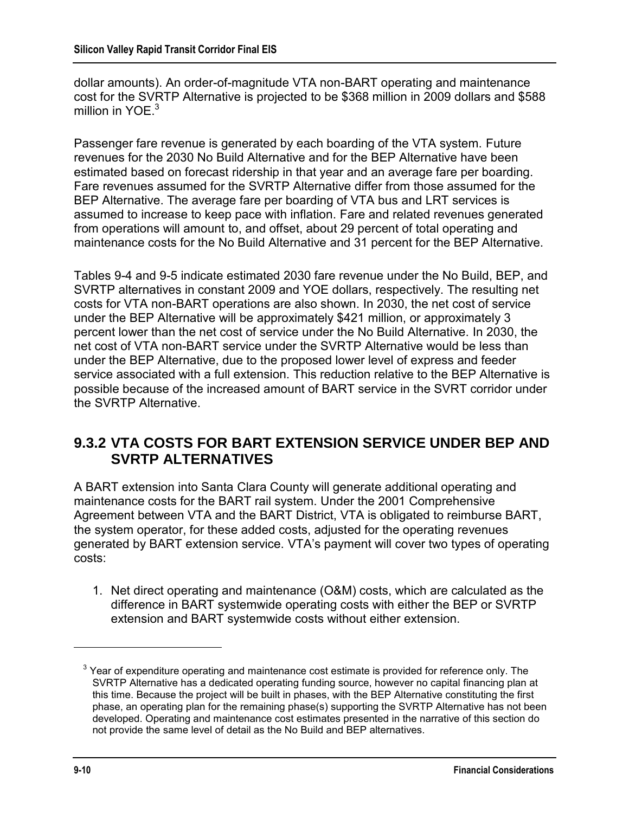dollar amounts). An order-of-magnitude VTA non-BART operating and maintenance cost for the SVRTP Alternative is projected to be \$368 million in 2009 dollars and \$588 million in YOE. $3$ 

Passenger fare revenue is generated by each boarding of the VTA system. Future revenues for the 2030 No Build Alternative and for the BEP Alternative have been estimated based on forecast ridership in that year and an average fare per boarding. Fare revenues assumed for the SVRTP Alternative differ from those assumed for the BEP Alternative. The average fare per boarding of VTA bus and LRT services is assumed to increase to keep pace with inflation. Fare and related revenues generated from operations will amount to, and offset, about 29 percent of total operating and maintenance costs for the No Build Alternative and 31 percent for the BEP Alternative.

Tables 9-4 and 9-5 indicate estimated 2030 fare revenue under the No Build, BEP, and SVRTP alternatives in constant 2009 and YOE dollars, respectively. The resulting net costs for VTA non-BART operations are also shown. In 2030, the net cost of service under the BEP Alternative will be approximately \$421 million, or approximately 3 percent lower than the net cost of service under the No Build Alternative. In 2030, the net cost of VTA non-BART service under the SVRTP Alternative would be less than under the BEP Alternative, due to the proposed lower level of express and feeder service associated with a full extension. This reduction relative to the BEP Alternative is possible because of the increased amount of BART service in the SVRT corridor under the SVRTP Alternative.

### **9.3.2 VTA COSTS FOR BART EXTENSION SERVICE UNDER BEP AND SVRTP ALTERNATIVES**

A BART extension into Santa Clara County will generate additional operating and maintenance costs for the BART rail system. Under the 2001 Comprehensive Agreement between VTA and the BART District, VTA is obligated to reimburse BART, the system operator, for these added costs, adjusted for the operating revenues generated by BART extension service. VTA's payment will cover two types of operating costs:

1. Net direct operating and maintenance (O&M) costs, which are calculated as the difference in BART systemwide operating costs with either the BEP or SVRTP extension and BART systemwide costs without either extension.

 $3$  Year of expenditure operating and maintenance cost estimate is provided for reference only. The SVRTP Alternative has a dedicated operating funding source, however no capital financing plan at this time. Because the project will be built in phases, with the BEP Alternative constituting the first phase, an operating plan for the remaining phase(s) supporting the SVRTP Alternative has not been developed. Operating and maintenance cost estimates presented in the narrative of this section do not provide the same level of detail as the No Build and BEP alternatives.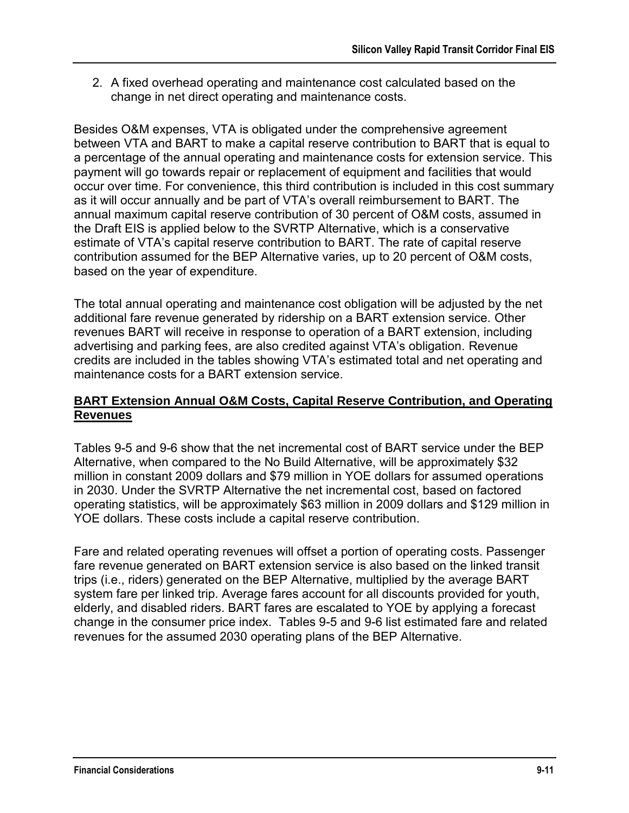2. A fixed overhead operating and maintenance cost calculated based on the change in net direct operating and maintenance costs.

Besides O&M expenses, VTA is obligated under the comprehensive agreement between VTA and BART to make a capital reserve contribution to BART that is equal to a percentage of the annual operating and maintenance costs for extension service. This payment will go towards repair or replacement of equipment and facilities that would occur over time. For convenience, this third contribution is included in this cost summary as it will occur annually and be part of VTA's overall reimbursement to BART. The annual maximum capital reserve contribution of 30 percent of O&M costs, assumed in the Draft EIS is applied below to the SVRTP Alternative, which is a conservative estimate of VTA's capital reserve contribution to BART. The rate of capital reserve contribution assumed for the BEP Alternative varies, up to 20 percent of O&M costs, based on the year of expenditure.

The total annual operating and maintenance cost obligation will be adjusted by the net additional fare revenue generated by ridership on a BART extension service. Other revenues BART will receive in response to operation of a BART extension, including advertising and parking fees, are also credited against VTA's obligation. Revenue credits are included in the tables showing VTA's estimated total and net operating and maintenance costs for a BART extension service.

### **BART Extension Annual O&M Costs, Capital Reserve Contribution, and Operating Revenues**

Tables 9-5 and 9-6 show that the net incremental cost of BART service under the BEP Alternative, when compared to the No Build Alternative, will be approximately \$32 million in constant 2009 dollars and \$79 million in YOE dollars for assumed operations in 2030. Under the SVRTP Alternative the net incremental cost, based on factored operating statistics, will be approximately \$63 million in 2009 dollars and \$129 million in YOE dollars. These costs include a capital reserve contribution.

Fare and related operating revenues will offset a portion of operating costs. Passenger fare revenue generated on BART extension service is also based on the linked transit trips (i.e., riders) generated on the BEP Alternative, multiplied by the average BART system fare per linked trip. Average fares account for all discounts provided for youth, elderly, and disabled riders. BART fares are escalated to YOE by applying a forecast change in the consumer price index. Tables 9-5 and 9-6 list estimated fare and related revenues for the assumed 2030 operating plans of the BEP Alternative.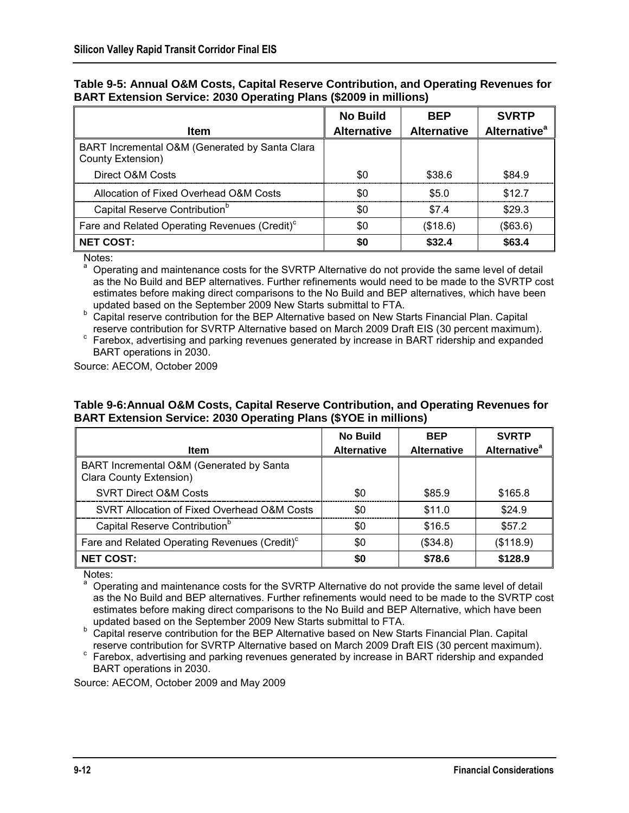|                                                                          |  | Table 9-5: Annual O&M Costs, Capital Reserve Contribution, and Operating Revenues for |  |
|--------------------------------------------------------------------------|--|---------------------------------------------------------------------------------------|--|
| <b>BART Extension Service: 2030 Operating Plans (\$2009 in millions)</b> |  |                                                                                       |  |

|                                                                     | <b>No Build</b>    | <b>BEP</b>         | <b>SVRTP</b>                    |
|---------------------------------------------------------------------|--------------------|--------------------|---------------------------------|
| <b>Item</b>                                                         | <b>Alternative</b> | <b>Alternative</b> | <b>Alternative</b> <sup>a</sup> |
| BART Incremental O&M (Generated by Santa Clara<br>County Extension) |                    |                    |                                 |
| Direct O&M Costs                                                    | \$0                | \$38.6             | \$84.9                          |
| Allocation of Fixed Overhead O&M Costs                              | \$0                | \$5.0              | \$12.7                          |
| Capital Reserve Contribution <sup>b</sup>                           | \$0                | \$7.4              | \$29.3                          |
| Fare and Related Operating Revenues (Credit) <sup>c</sup>           | \$0                | (\$18.6)           | (\$63.6)                        |
| <b>NET COST:</b>                                                    | \$0                | \$32.4             | \$63.4                          |

Notes:

a Operating and maintenance costs for the SVRTP Alternative do not provide the same level of detail as the No Build and BEP alternatives. Further refinements would need to be made to the SVRTP cost estimates before making direct comparisons to the No Build and BEP alternatives, which have been updated based on the September 2009 New Starts submittal to FTA.

**b** Capital reserve contribution for the BEP Alternative based on New Starts Financial Plan. Capital reserve contribution for SVRTP Alternative based on March 2009 Draft EIS (30 percent maximum).

c Farebox, advertising and parking revenues generated by increase in BART ridership and expanded BART operations in 2030.

Source: AECOM, October 2009

#### **Table 9-6:Annual O&M Costs, Capital Reserve Contribution, and Operating Revenues for BART Extension Service: 2030 Operating Plans (\$YOE in millions)**

|                                                                     | <b>No Build</b>    | <b>BEP</b>         | <b>SVRTP</b>                   |
|---------------------------------------------------------------------|--------------------|--------------------|--------------------------------|
| ltem                                                                | <b>Alternative</b> | <b>Alternative</b> | <b>Alternative<sup>a</sup></b> |
| BART Incremental O&M (Generated by Santa<br>Clara County Extension) |                    |                    |                                |
| <b>SVRT Direct O&amp;M Costs</b>                                    | \$0                | \$85.9             | \$165.8                        |
| SVRT Allocation of Fixed Overhead O&M Costs                         | \$0                | \$11.0             | \$24.9                         |
| Capital Reserve Contribution <sup>b</sup>                           | \$0                | \$16.5             | \$57.2                         |
| Fare and Related Operating Revenues (Credit) <sup>c</sup>           | \$0                | (\$34.8)           | (\$118.9)                      |
| <b>NET COST:</b>                                                    | \$0                | \$78.6             | \$128.9                        |

Notes: a

 Operating and maintenance costs for the SVRTP Alternative do not provide the same level of detail as the No Build and BEP alternatives. Further refinements would need to be made to the SVRTP cost estimates before making direct comparisons to the No Build and BEP Alternative, which have been updated based on the September 2009 New Starts submittal to FTA.

**b** Capital reserve contribution for the BEP Alternative based on New Starts Financial Plan. Capital reserve contribution for SVRTP Alternative based on March 2009 Draft EIS (30 percent maximum).

<sup>c</sup> Farebox, advertising and parking revenues generated by increase in BART ridership and expanded BART operations in 2030.

Source: AECOM, October 2009 and May 2009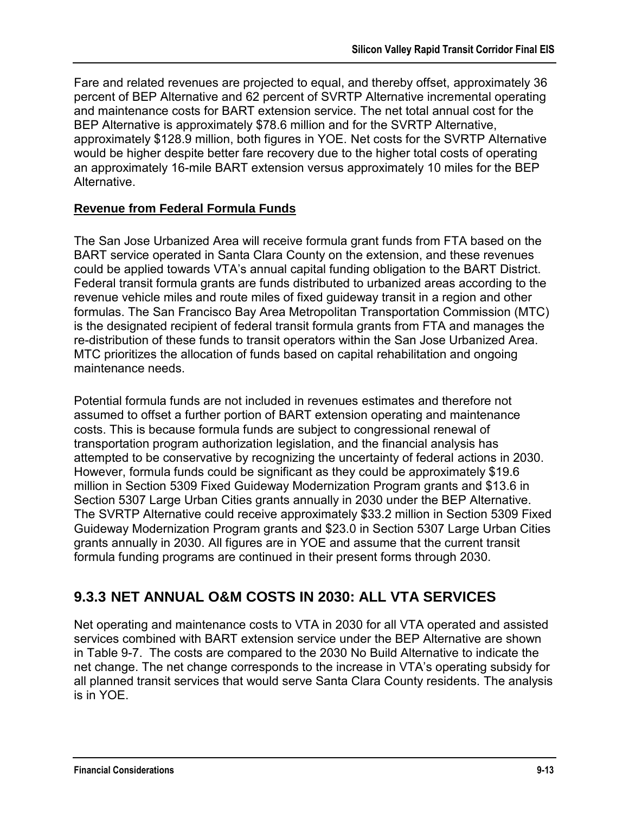Fare and related revenues are projected to equal, and thereby offset, approximately 36 percent of BEP Alternative and 62 percent of SVRTP Alternative incremental operating and maintenance costs for BART extension service. The net total annual cost for the BEP Alternative is approximately \$78.6 million and for the SVRTP Alternative, approximately \$128.9 million, both figures in YOE. Net costs for the SVRTP Alternative would be higher despite better fare recovery due to the higher total costs of operating an approximately 16-mile BART extension versus approximately 10 miles for the BEP Alternative.

### **Revenue from Federal Formula Funds**

The San Jose Urbanized Area will receive formula grant funds from FTA based on the BART service operated in Santa Clara County on the extension, and these revenues could be applied towards VTA's annual capital funding obligation to the BART District. Federal transit formula grants are funds distributed to urbanized areas according to the revenue vehicle miles and route miles of fixed guideway transit in a region and other formulas. The San Francisco Bay Area Metropolitan Transportation Commission (MTC) is the designated recipient of federal transit formula grants from FTA and manages the re-distribution of these funds to transit operators within the San Jose Urbanized Area. MTC prioritizes the allocation of funds based on capital rehabilitation and ongoing maintenance needs.

Potential formula funds are not included in revenues estimates and therefore not assumed to offset a further portion of BART extension operating and maintenance costs. This is because formula funds are subject to congressional renewal of transportation program authorization legislation, and the financial analysis has attempted to be conservative by recognizing the uncertainty of federal actions in 2030. However, formula funds could be significant as they could be approximately \$19.6 million in Section 5309 Fixed Guideway Modernization Program grants and \$13.6 in Section 5307 Large Urban Cities grants annually in 2030 under the BEP Alternative. The SVRTP Alternative could receive approximately \$33.2 million in Section 5309 Fixed Guideway Modernization Program grants and \$23.0 in Section 5307 Large Urban Cities grants annually in 2030. All figures are in YOE and assume that the current transit formula funding programs are continued in their present forms through 2030.

## **9.3.3 NET ANNUAL O&M COSTS IN 2030: ALL VTA SERVICES**

Net operating and maintenance costs to VTA in 2030 for all VTA operated and assisted services combined with BART extension service under the BEP Alternative are shown in Table 9-7. The costs are compared to the 2030 No Build Alternative to indicate the net change. The net change corresponds to the increase in VTA's operating subsidy for all planned transit services that would serve Santa Clara County residents. The analysis is in YOE.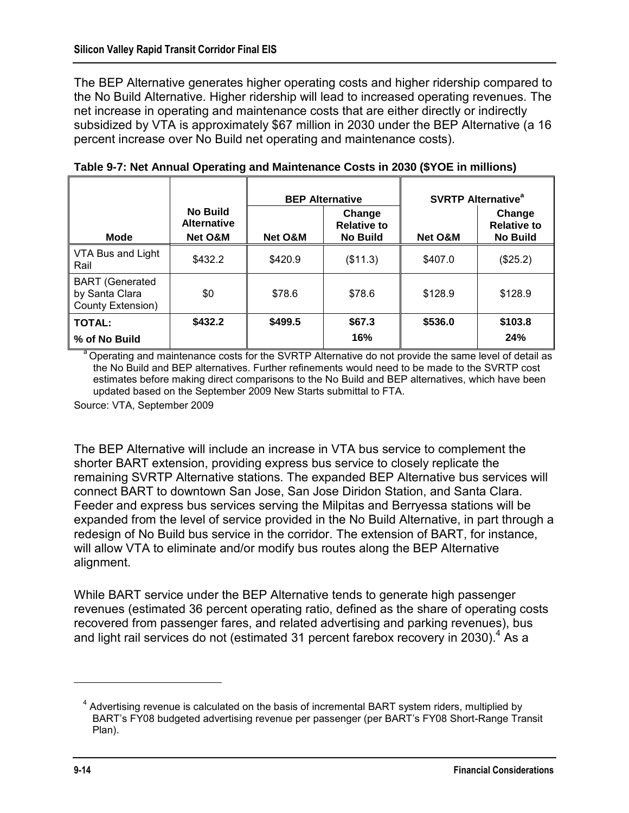The BEP Alternative generates higher operating costs and higher ridership compared to the No Build Alternative. Higher ridership will lead to increased operating revenues. The net increase in operating and maintenance costs that are either directly or indirectly subsidized by VTA is approximately \$67 million in 2030 under the BEP Alternative (a 16 percent increase over No Build net operating and maintenance costs).

|                                                               |                                                  | <b>BEP Alternative</b> |                                                 | <b>SVRTP Alternative<sup>a</sup></b> |                                                 |
|---------------------------------------------------------------|--------------------------------------------------|------------------------|-------------------------------------------------|--------------------------------------|-------------------------------------------------|
| <b>Mode</b>                                                   | <b>No Build</b><br><b>Alternative</b><br>Net O&M | Net O&M                | Change<br><b>Relative to</b><br><b>No Build</b> | <b>Net O&amp;M</b>                   | Change<br><b>Relative to</b><br><b>No Build</b> |
| VTA Bus and Light<br>Rail                                     | \$432.2                                          | \$420.9                | (\$11.3)                                        | \$407.0                              | (\$25.2)                                        |
| <b>BART</b> (Generated<br>by Santa Clara<br>County Extension) | \$0                                              | \$78.6                 | \$78.6                                          | \$128.9                              | \$128.9                                         |
| TOTAL:                                                        | \$432.2                                          | \$499.5                | \$67.3                                          | \$536.0                              | \$103.8                                         |
| % of No Build                                                 |                                                  |                        | 16%                                             |                                      | 24%                                             |

**Table 9-7: Net Annual Operating and Maintenance Costs in 2030 (\$YOE in millions)**

Operating and maintenance costs for the SVRTP Alternative do not provide the same level of detail as the No Build and BEP alternatives. Further refinements would need to be made to the SVRTP cost estimates before making direct comparisons to the No Build and BEP alternatives, which have been updated based on the September 2009 New Starts submittal to FTA.

Source: VTA, September 2009

The BEP Alternative will include an increase in VTA bus service to complement the shorter BART extension, providing express bus service to closely replicate the remaining SVRTP Alternative stations. The expanded BEP Alternative bus services will connect BART to downtown San Jose, San Jose Diridon Station, and Santa Clara. Feeder and express bus services serving the Milpitas and Berryessa stations will be expanded from the level of service provided in the No Build Alternative, in part through a redesign of No Build bus service in the corridor. The extension of BART, for instance, will allow VTA to eliminate and/or modify bus routes along the BEP Alternative alignment.

While BART service under the BEP Alternative tends to generate high passenger revenues (estimated 36 percent operating ratio, defined as the share of operating costs recovered from passenger fares, and related advertising and parking revenues), bus and light rail services do not (estimated 31 percent farebox recovery in 2030).<sup>4</sup> As a

<sup>&</sup>lt;sup>4</sup> Advertising revenue is calculated on the basis of incremental BART system riders, multiplied by BART's FY08 budgeted advertising revenue per passenger (per BART's FY08 Short-Range Transit Plan).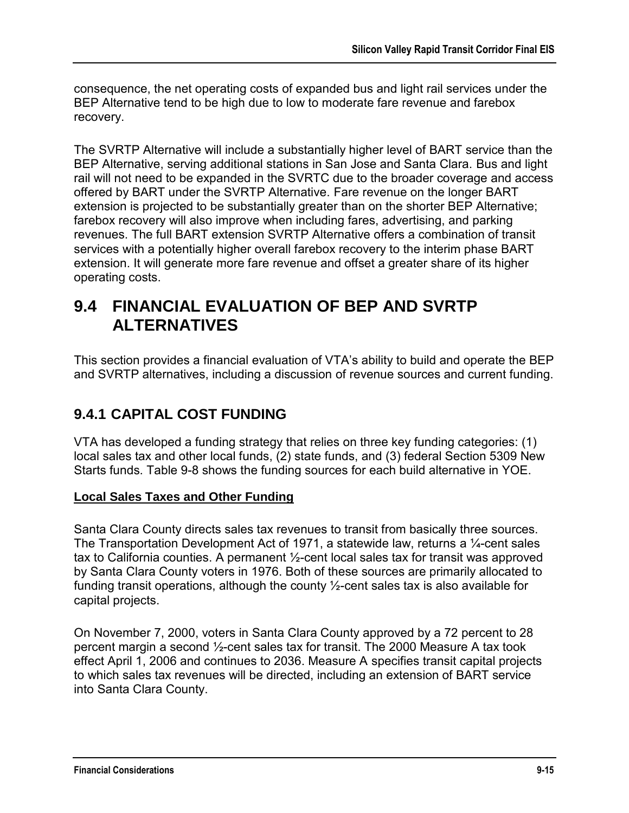consequence, the net operating costs of expanded bus and light rail services under the BEP Alternative tend to be high due to low to moderate fare revenue and farebox recovery.

The SVRTP Alternative will include a substantially higher level of BART service than the BEP Alternative, serving additional stations in San Jose and Santa Clara. Bus and light rail will not need to be expanded in the SVRTC due to the broader coverage and access offered by BART under the SVRTP Alternative. Fare revenue on the longer BART extension is projected to be substantially greater than on the shorter BEP Alternative; farebox recovery will also improve when including fares, advertising, and parking revenues. The full BART extension SVRTP Alternative offers a combination of transit services with a potentially higher overall farebox recovery to the interim phase BART extension. It will generate more fare revenue and offset a greater share of its higher operating costs.

# **9.4 FINANCIAL EVALUATION OF BEP AND SVRTP ALTERNATIVES**

This section provides a financial evaluation of VTA's ability to build and operate the BEP and SVRTP alternatives, including a discussion of revenue sources and current funding.

## **9.4.1 CAPITAL COST FUNDING**

VTA has developed a funding strategy that relies on three key funding categories: (1) local sales tax and other local funds, (2) state funds, and (3) federal Section 5309 New Starts funds. Table 9-8 shows the funding sources for each build alternative in YOE.

### **Local Sales Taxes and Other Funding**

Santa Clara County directs sales tax revenues to transit from basically three sources. The Transportation Development Act of 1971, a statewide law, returns a ¼-cent sales tax to California counties. A permanent ½-cent local sales tax for transit was approved by Santa Clara County voters in 1976. Both of these sources are primarily allocated to funding transit operations, although the county ½-cent sales tax is also available for capital projects.

On November 7, 2000, voters in Santa Clara County approved by a 72 percent to 28 percent margin a second ½-cent sales tax for transit. The 2000 Measure A tax took effect April 1, 2006 and continues to 2036. Measure A specifies transit capital projects to which sales tax revenues will be directed, including an extension of BART service into Santa Clara County.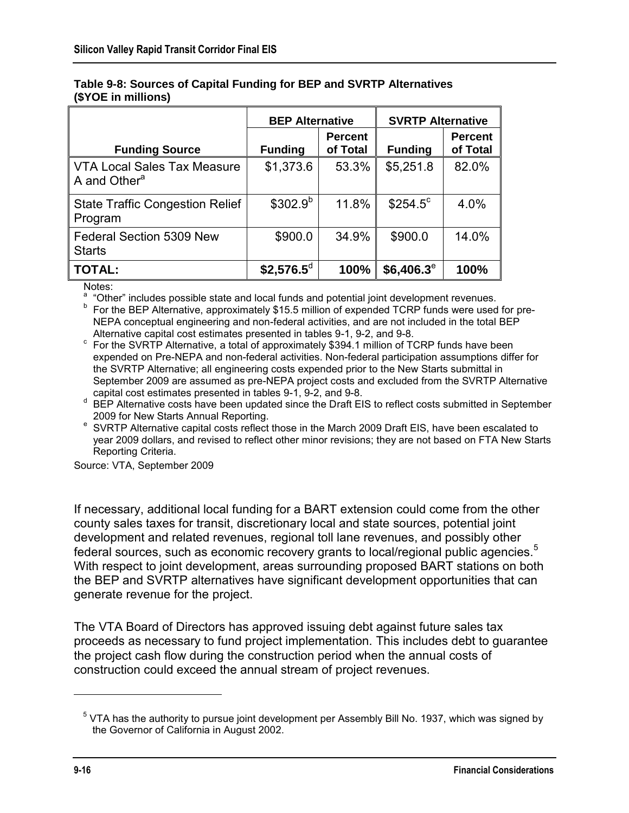|                                                                | <b>BEP Alternative</b> |                            | <b>SVRTP Alternative</b> |                            |
|----------------------------------------------------------------|------------------------|----------------------------|--------------------------|----------------------------|
| <b>Funding Source</b>                                          | <b>Funding</b>         | <b>Percent</b><br>of Total | <b>Funding</b>           | <b>Percent</b><br>of Total |
| <b>VTA Local Sales Tax Measure</b><br>A and Other <sup>a</sup> | \$1,373.6              | 53.3%                      | \$5,251.8                | 82.0%                      |
| <b>State Traffic Congestion Relief</b><br>Program              | $$302.9^{b}$           | 11.8%                      | $$254.5^{\circ}$         | 4.0%                       |
| Federal Section 5309 New<br><b>Starts</b>                      | \$900.0                | 34.9%                      | \$900.0                  | 14.0%                      |
| <b>TOTAL:</b>                                                  | $$2,576.5^{\circ}$     | 100%                       | $$6,406.3^e$             | 100%                       |

#### **Table 9-8: Sources of Capital Funding for BEP and SVRTP Alternatives (\$YOE in millions)**

Notes:

<sup>a</sup> "Other" includes possible state and local funds and potential joint development revenues.

<sup>b</sup> For the BEP Alternative, approximately \$15.5 million of expended TCRP funds were used for pre-NEPA conceptual engineering and non-federal activities, and are not included in the total BEP Alternative capital cost estimates presented in tables 9-1, 9-2, and 9-8.

 $\degree$  For the SVRTP Alternative, a total of approximately \$394.1 million of TCRP funds have been expended on Pre-NEPA and non-federal activities. Non-federal participation assumptions differ for the SVRTP Alternative; all engineering costs expended prior to the New Starts submittal in September 2009 are assumed as pre-NEPA project costs and excluded from the SVRTP Alternative capital cost estimates presented in tables 9-1, 9-2, and 9-8.

<sup>d</sup> BEP Alternative costs have been updated since the Draft EIS to reflect costs submitted in September 2009 for New Starts Annual Reporting.

<sup>e</sup> SVRTP Alternative capital costs reflect those in the March 2009 Draft EIS, have been escalated to year 2009 dollars, and revised to reflect other minor revisions; they are not based on FTA New Starts Reporting Criteria.

Source: VTA, September 2009

If necessary, additional local funding for a BART extension could come from the other county sales taxes for transit, discretionary local and state sources, potential joint development and related revenues, regional toll lane revenues, and possibly other federal sources, such as economic recovery grants to local/regional public agencies.<sup>5</sup> With respect to joint development, areas surrounding proposed BART stations on both the BEP and SVRTP alternatives have significant development opportunities that can generate revenue for the project.

The VTA Board of Directors has approved issuing debt against future sales tax proceeds as necessary to fund project implementation. This includes debt to guarantee the project cash flow during the construction period when the annual costs of construction could exceed the annual stream of project revenues.

 $^5$  VTA has the authority to pursue joint development per Assembly Bill No. 1937, which was signed by the Governor of California in August 2002.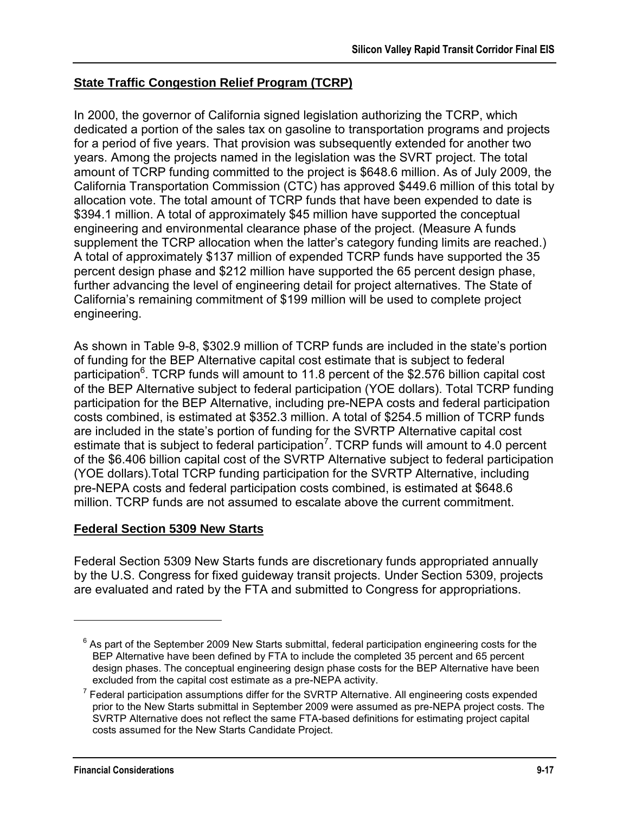### **State Traffic Congestion Relief Program (TCRP)**

In 2000, the governor of California signed legislation authorizing the TCRP, which dedicated a portion of the sales tax on gasoline to transportation programs and projects for a period of five years. That provision was subsequently extended for another two years. Among the projects named in the legislation was the SVRT project. The total amount of TCRP funding committed to the project is \$648.6 million. As of July 2009, the California Transportation Commission (CTC) has approved \$449.6 million of this total by allocation vote. The total amount of TCRP funds that have been expended to date is \$394.1 million. A total of approximately \$45 million have supported the conceptual engineering and environmental clearance phase of the project. (Measure A funds supplement the TCRP allocation when the latter's category funding limits are reached.) A total of approximately \$137 million of expended TCRP funds have supported the 35 percent design phase and \$212 million have supported the 65 percent design phase, further advancing the level of engineering detail for project alternatives. The State of California's remaining commitment of \$199 million will be used to complete project engineering.

As shown in Table 9-8, \$302.9 million of TCRP funds are included in the state's portion of funding for the BEP Alternative capital cost estimate that is subject to federal participation<sup>6</sup>. TCRP funds will amount to 11.8 percent of the \$2.576 billion capital cost of the BEP Alternative subject to federal participation (YOE dollars). Total TCRP funding participation for the BEP Alternative, including pre-NEPA costs and federal participation costs combined, is estimated at \$352.3 million. A total of \$254.5 million of TCRP funds are included in the state's portion of funding for the SVRTP Alternative capital cost estimate that is subject to federal participation<sup>7</sup>. TCRP funds will amount to 4.0 percent of the \$6.406 billion capital cost of the SVRTP Alternative subject to federal participation (YOE dollars).Total TCRP funding participation for the SVRTP Alternative, including pre-NEPA costs and federal participation costs combined, is estimated at \$648.6 million. TCRP funds are not assumed to escalate above the current commitment.

#### **Federal Section 5309 New Starts**

Federal Section 5309 New Starts funds are discretionary funds appropriated annually by the U.S. Congress for fixed guideway transit projects. Under Section 5309, projects are evaluated and rated by the FTA and submitted to Congress for appropriations.

 $^6$  As part of the September 2009 New Starts submittal, federal participation engineering costs for the BEP Alternative have been defined by FTA to include the completed 35 percent and 65 percent design phases. The conceptual engineering design phase costs for the BEP Alternative have been excluded from the capital cost estimate as a pre-NEPA activity.

 $7$  Federal participation assumptions differ for the SVRTP Alternative. All engineering costs expended prior to the New Starts submittal in September 2009 were assumed as pre-NEPA project costs. The SVRTP Alternative does not reflect the same FTA-based definitions for estimating project capital costs assumed for the New Starts Candidate Project.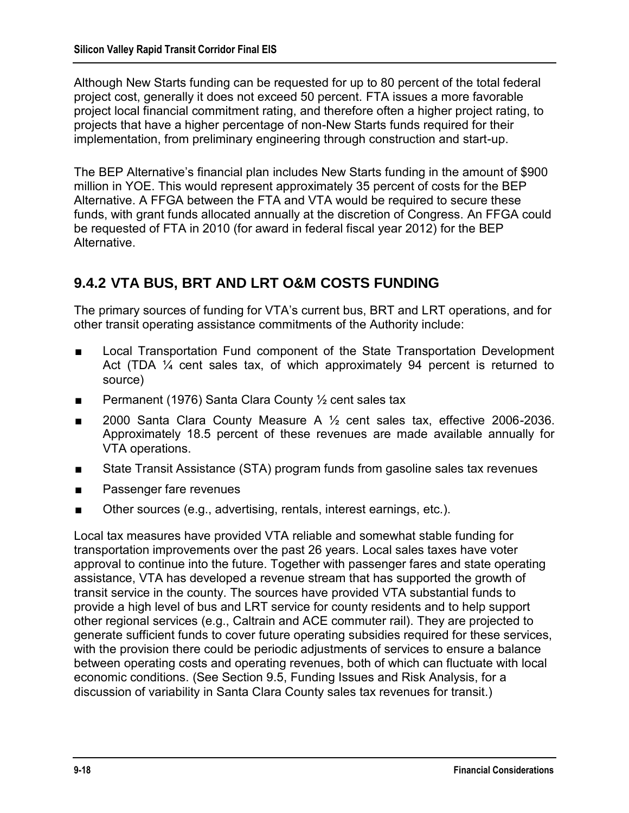Although New Starts funding can be requested for up to 80 percent of the total federal project cost, generally it does not exceed 50 percent. FTA issues a more favorable project local financial commitment rating, and therefore often a higher project rating, to projects that have a higher percentage of non-New Starts funds required for their implementation, from preliminary engineering through construction and start-up.

The BEP Alternative's financial plan includes New Starts funding in the amount of \$900 million in YOE. This would represent approximately 35 percent of costs for the BEP Alternative. A FFGA between the FTA and VTA would be required to secure these funds, with grant funds allocated annually at the discretion of Congress. An FFGA could be requested of FTA in 2010 (for award in federal fiscal year 2012) for the BEP Alternative.

## **9.4.2 VTA BUS, BRT AND LRT O&M COSTS FUNDING**

The primary sources of funding for VTA's current bus, BRT and LRT operations, and for other transit operating assistance commitments of the Authority include:

- Local Transportation Fund component of the State Transportation Development Act (TDA ¼ cent sales tax, of which approximately 94 percent is returned to source)
- Permanent (1976) Santa Clara County <sup>1</sup>/<sub>2</sub> cent sales tax
- 2000 Santa Clara County Measure A 1/<sub>2</sub> cent sales tax, effective 2006-2036. Approximately 18.5 percent of these revenues are made available annually for VTA operations.
- State Transit Assistance (STA) program funds from gasoline sales tax revenues
- Passenger fare revenues
- Other sources (e.g., advertising, rentals, interest earnings, etc.).

Local tax measures have provided VTA reliable and somewhat stable funding for transportation improvements over the past 26 years. Local sales taxes have voter approval to continue into the future. Together with passenger fares and state operating assistance, VTA has developed a revenue stream that has supported the growth of transit service in the county. The sources have provided VTA substantial funds to provide a high level of bus and LRT service for county residents and to help support other regional services (e.g., Caltrain and ACE commuter rail). They are projected to generate sufficient funds to cover future operating subsidies required for these services, with the provision there could be periodic adjustments of services to ensure a balance between operating costs and operating revenues, both of which can fluctuate with local economic conditions. (See Section 9.5, Funding Issues and Risk Analysis, for a discussion of variability in Santa Clara County sales tax revenues for transit.)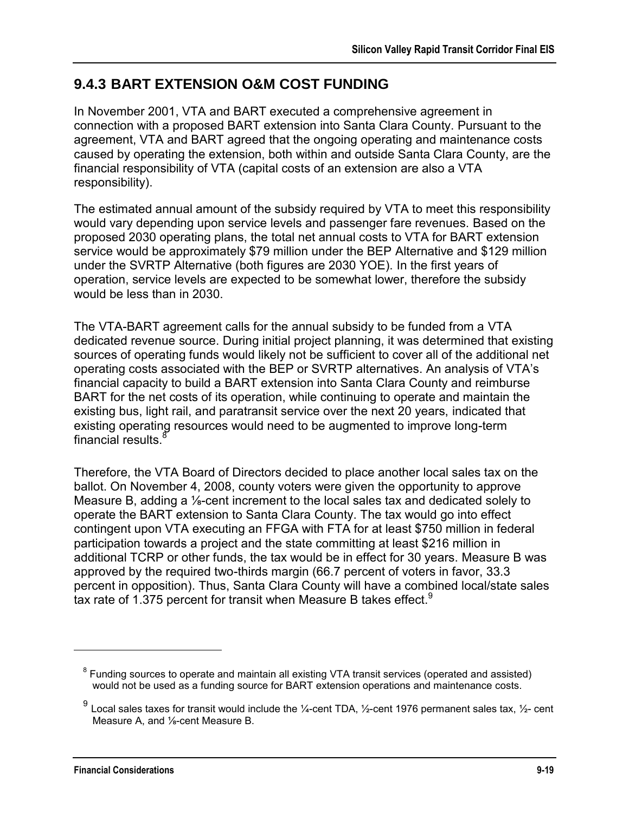## **9.4.3 BART EXTENSION O&M COST FUNDING**

In November 2001, VTA and BART executed a comprehensive agreement in connection with a proposed BART extension into Santa Clara County. Pursuant to the agreement, VTA and BART agreed that the ongoing operating and maintenance costs caused by operating the extension, both within and outside Santa Clara County, are the financial responsibility of VTA (capital costs of an extension are also a VTA responsibility).

The estimated annual amount of the subsidy required by VTA to meet this responsibility would vary depending upon service levels and passenger fare revenues. Based on the proposed 2030 operating plans, the total net annual costs to VTA for BART extension service would be approximately \$79 million under the BEP Alternative and \$129 million under the SVRTP Alternative (both figures are 2030 YOE). In the first years of operation, service levels are expected to be somewhat lower, therefore the subsidy would be less than in 2030.

The VTA-BART agreement calls for the annual subsidy to be funded from a VTA dedicated revenue source. During initial project planning, it was determined that existing sources of operating funds would likely not be sufficient to cover all of the additional net operating costs associated with the BEP or SVRTP alternatives. An analysis of VTA's financial capacity to build a BART extension into Santa Clara County and reimburse BART for the net costs of its operation, while continuing to operate and maintain the existing bus, light rail, and paratransit service over the next 20 years, indicated that existing operating resources would need to be augmented to improve long-term financial results. $8$ 

Therefore, the VTA Board of Directors decided to place another local sales tax on the ballot. On November 4, 2008, county voters were given the opportunity to approve Measure B, adding a ⅛-cent increment to the local sales tax and dedicated solely to operate the BART extension to Santa Clara County. The tax would go into effect contingent upon VTA executing an FFGA with FTA for at least \$750 million in federal participation towards a project and the state committing at least \$216 million in additional TCRP or other funds, the tax would be in effect for 30 years. Measure B was approved by the required two-thirds margin (66.7 percent of voters in favor, 33.3 percent in opposition). Thus, Santa Clara County will have a combined local/state sales tax rate of 1.375 percent for transit when Measure B takes effect.<sup>9</sup>

 $8$  Funding sources to operate and maintain all existing VTA transit services (operated and assisted) would not be used as a funding source for BART extension operations and maintenance costs.

 $^9$  Local sales taxes for transit would include the ¼-cent TDA, ½-cent 1976 permanent sales tax, ½- cent Measure A, and ⅛-cent Measure B.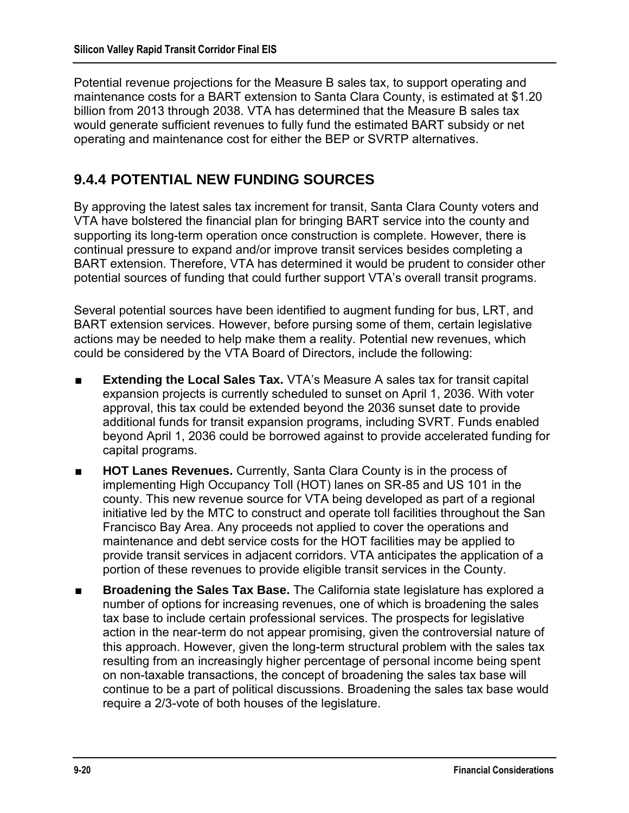Potential revenue projections for the Measure B sales tax, to support operating and maintenance costs for a BART extension to Santa Clara County, is estimated at \$1.20 billion from 2013 through 2038. VTA has determined that the Measure B sales tax would generate sufficient revenues to fully fund the estimated BART subsidy or net operating and maintenance cost for either the BEP or SVRTP alternatives.

## **9.4.4 POTENTIAL NEW FUNDING SOURCES**

By approving the latest sales tax increment for transit, Santa Clara County voters and VTA have bolstered the financial plan for bringing BART service into the county and supporting its long-term operation once construction is complete. However, there is continual pressure to expand and/or improve transit services besides completing a BART extension. Therefore, VTA has determined it would be prudent to consider other potential sources of funding that could further support VTA's overall transit programs.

Several potential sources have been identified to augment funding for bus, LRT, and BART extension services. However, before pursing some of them, certain legislative actions may be needed to help make them a reality. Potential new revenues, which could be considered by the VTA Board of Directors, include the following:

- **Extending the Local Sales Tax.** VTA's Measure A sales tax for transit capital expansion projects is currently scheduled to sunset on April 1, 2036. With voter approval, this tax could be extended beyond the 2036 sunset date to provide additional funds for transit expansion programs, including SVRT. Funds enabled beyond April 1, 2036 could be borrowed against to provide accelerated funding for capital programs.
- **HOT Lanes Revenues.** Currently, Santa Clara County is in the process of implementing High Occupancy Toll (HOT) lanes on SR-85 and US 101 in the county. This new revenue source for VTA being developed as part of a regional initiative led by the MTC to construct and operate toll facilities throughout the San Francisco Bay Area. Any proceeds not applied to cover the operations and maintenance and debt service costs for the HOT facilities may be applied to provide transit services in adjacent corridors. VTA anticipates the application of a portion of these revenues to provide eligible transit services in the County.
- **Broadening the Sales Tax Base.** The California state legislature has explored a number of options for increasing revenues, one of which is broadening the sales tax base to include certain professional services. The prospects for legislative action in the near-term do not appear promising, given the controversial nature of this approach. However, given the long-term structural problem with the sales tax resulting from an increasingly higher percentage of personal income being spent on non-taxable transactions, the concept of broadening the sales tax base will continue to be a part of political discussions. Broadening the sales tax base would require a 2/3-vote of both houses of the legislature.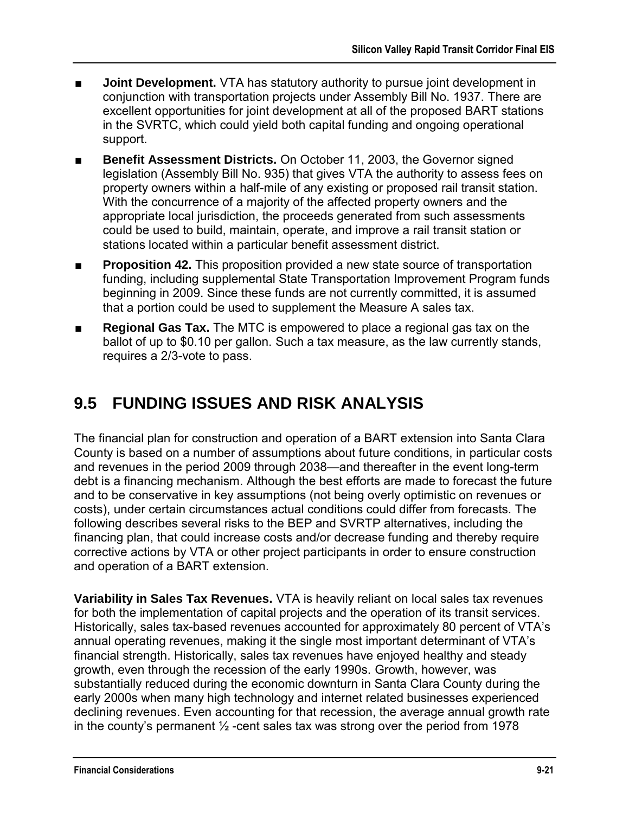- **Joint Development.** VTA has statutory authority to pursue joint development in conjunction with transportation projects under Assembly Bill No. 1937. There are excellent opportunities for joint development at all of the proposed BART stations in the SVRTC, which could yield both capital funding and ongoing operational support.
- Benefit Assessment Districts. On October 11, 2003, the Governor signed legislation (Assembly Bill No. 935) that gives VTA the authority to assess fees on property owners within a half-mile of any existing or proposed rail transit station. With the concurrence of a majority of the affected property owners and the appropriate local jurisdiction, the proceeds generated from such assessments could be used to build, maintain, operate, and improve a rail transit station or stations located within a particular benefit assessment district.
- **Proposition 42.** This proposition provided a new state source of transportation funding, including supplemental State Transportation Improvement Program funds beginning in 2009. Since these funds are not currently committed, it is assumed that a portion could be used to supplement the Measure A sales tax.
- **Regional Gas Tax.** The MTC is empowered to place a regional gas tax on the ballot of up to \$0.10 per gallon. Such a tax measure, as the law currently stands, requires a 2/3-vote to pass.

# **9.5 FUNDING ISSUES AND RISK ANALYSIS**

The financial plan for construction and operation of a BART extension into Santa Clara County is based on a number of assumptions about future conditions, in particular costs and revenues in the period 2009 through 2038—and thereafter in the event long-term debt is a financing mechanism. Although the best efforts are made to forecast the future and to be conservative in key assumptions (not being overly optimistic on revenues or costs), under certain circumstances actual conditions could differ from forecasts. The following describes several risks to the BEP and SVRTP alternatives, including the financing plan, that could increase costs and/or decrease funding and thereby require corrective actions by VTA or other project participants in order to ensure construction and operation of a BART extension.

**Variability in Sales Tax Revenues.** VTA is heavily reliant on local sales tax revenues for both the implementation of capital projects and the operation of its transit services. Historically, sales tax-based revenues accounted for approximately 80 percent of VTA's annual operating revenues, making it the single most important determinant of VTA's financial strength. Historically, sales tax revenues have enjoyed healthy and steady growth, even through the recession of the early 1990s. Growth, however, was substantially reduced during the economic downturn in Santa Clara County during the early 2000s when many high technology and internet related businesses experienced declining revenues. Even accounting for that recession, the average annual growth rate in the county's permanent  $\frac{1}{2}$ -cent sales tax was strong over the period from 1978